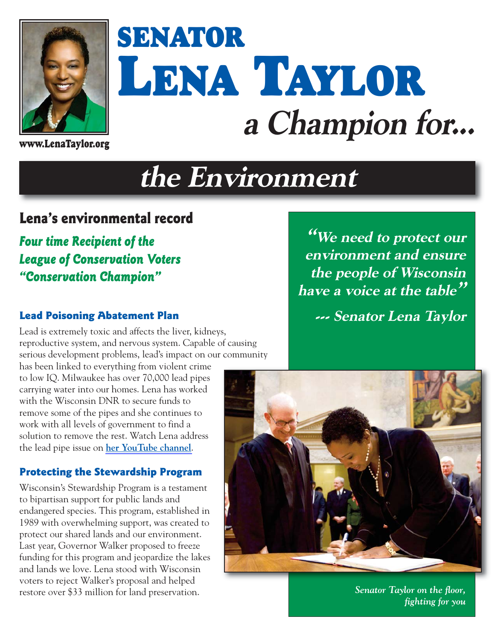

# **SENATOR LENA TAYLOR a Champion for...**

**www.LenaTaylor.org**

## **the Environment**

#### **Lena's environmental record**

*Four time Recipient of the League of Conservation Voters "Conservation Champion"*

#### **Lead Poisoning Abatement Plan**

Lead is extremely toxic and affects the liver, kidneys, reproductive system, and nervous system. Capable of causing serious development problems, lead's impact on our community

has been linked to everything from violent crime to low IQ. Milwaukee has over 70,000 lead pipes carrying water into our homes. Lena has worked with the Wisconsin DNR to secure funds to remove some of the pipes and she continues to work with all levels of government to find a solution to remove the rest. Watch Lena address the lead pipe issue on **[her YouTube channel](https://www.youtube.com/watch?v=yAnfwYzQ42w)**.

#### **Protecting the Stewardship Program**

Wisconsin's Stewardship Program is a testament to bipartisan support for public lands and endangered species. This program, established in 1989 with overwhelming support, was created to protect our shared lands and our environment. Last year, Governor Walker proposed to freeze funding for this program and jeopardize the lakes and lands we love. Lena stood with Wisconsin voters to reject Walker's proposal and helped restore over \$33 million for land preservation.

**"We need to protect our environment and ensure the people of Wisconsin have a voice at the table"**

**--- Senator Lena Taylor** 



*Senator Taylor on the floor, fighting for you*